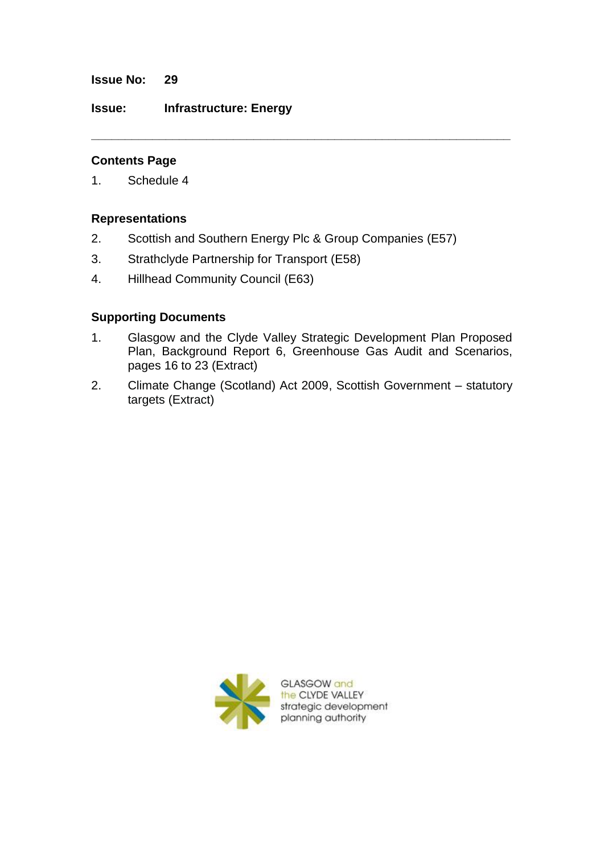**Issue No: 29**

**Issue: Infrastructure: Energy**

## **Contents Page**

1. Schedule 4

### **Representations**

2. Scottish and Southern Energy Plc & Group Companies (E57)

**\_\_\_\_\_\_\_\_\_\_\_\_\_\_\_\_\_\_\_\_\_\_\_\_\_\_\_\_\_\_\_\_\_\_\_\_\_\_\_\_\_\_\_\_\_\_\_\_\_\_\_\_\_\_\_\_\_\_\_\_\_\_**

- 3. Strathclyde Partnership for Transport (E58)
- 4. Hillhead Community Council (E63)

## **Supporting Documents**

- 1. Glasgow and the Clyde Valley Strategic Development Plan Proposed Plan, Background Report 6, Greenhouse Gas Audit and Scenarios, pages 16 to 23 (Extract)
- 2. Climate Change (Scotland) Act 2009, Scottish Government statutory targets (Extract)

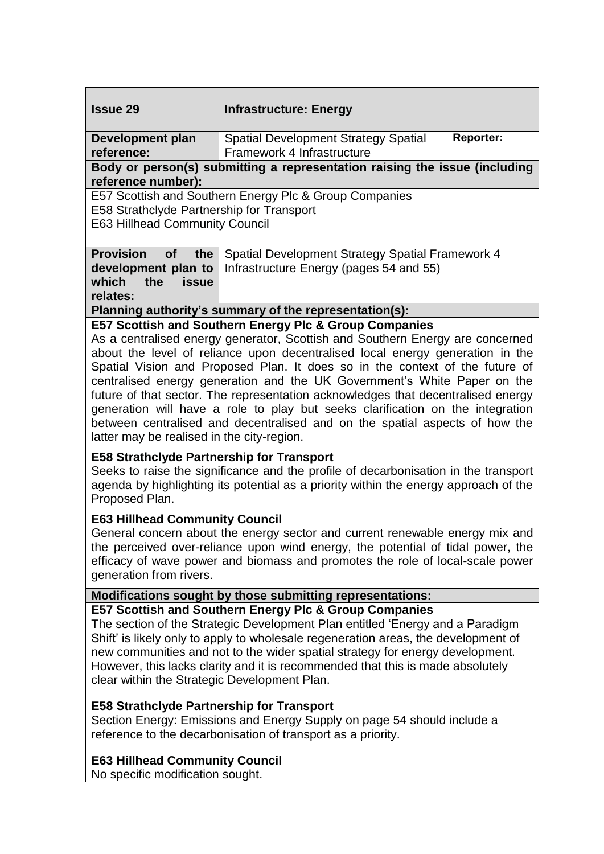| <b>Issue 29</b>                                                                                                                                                                                                                                                                                                                                                                                                                                                                                                                                                                                                                                                                         | <b>Infrastructure: Energy</b>                                                               |                  |
|-----------------------------------------------------------------------------------------------------------------------------------------------------------------------------------------------------------------------------------------------------------------------------------------------------------------------------------------------------------------------------------------------------------------------------------------------------------------------------------------------------------------------------------------------------------------------------------------------------------------------------------------------------------------------------------------|---------------------------------------------------------------------------------------------|------------------|
| <b>Development plan</b><br>reference:                                                                                                                                                                                                                                                                                                                                                                                                                                                                                                                                                                                                                                                   | <b>Spatial Development Strategy Spatial</b><br>Framework 4 Infrastructure                   | <b>Reporter:</b> |
| Body or person(s) submitting a representation raising the issue (including<br>reference number):                                                                                                                                                                                                                                                                                                                                                                                                                                                                                                                                                                                        |                                                                                             |                  |
| E57 Scottish and Southern Energy Plc & Group Companies<br>E58 Strathclyde Partnership for Transport<br><b>E63 Hillhead Community Council</b>                                                                                                                                                                                                                                                                                                                                                                                                                                                                                                                                            |                                                                                             |                  |
| <b>Provision</b><br><b>of</b><br>the<br>development plan to<br>which<br>the<br><b>issue</b><br>relates:                                                                                                                                                                                                                                                                                                                                                                                                                                                                                                                                                                                 | Spatial Development Strategy Spatial Framework 4<br>Infrastructure Energy (pages 54 and 55) |                  |
| Planning authority's summary of the representation(s):                                                                                                                                                                                                                                                                                                                                                                                                                                                                                                                                                                                                                                  |                                                                                             |                  |
| E57 Scottish and Southern Energy Plc & Group Companies<br>As a centralised energy generator, Scottish and Southern Energy are concerned<br>about the level of reliance upon decentralised local energy generation in the<br>Spatial Vision and Proposed Plan. It does so in the context of the future of<br>centralised energy generation and the UK Government's White Paper on the<br>future of that sector. The representation acknowledges that decentralised energy<br>generation will have a role to play but seeks clarification on the integration<br>between centralised and decentralised and on the spatial aspects of how the<br>latter may be realised in the city-region. |                                                                                             |                  |
| <b>E58 Strathclyde Partnership for Transport</b><br>Seeks to raise the significance and the profile of decarbonisation in the transport<br>agenda by highlighting its potential as a priority within the energy approach of the<br>Proposed Plan.                                                                                                                                                                                                                                                                                                                                                                                                                                       |                                                                                             |                  |
| <b>E63 Hillhead Community Council</b><br>General concern about the energy sector and current renewable energy mix and<br>the perceived over-reliance upon wind energy, the potential of tidal power, the<br>efficacy of wave power and biomass and promotes the role of local-scale power<br>generation from rivers.                                                                                                                                                                                                                                                                                                                                                                    |                                                                                             |                  |
| Modifications sought by those submitting representations:                                                                                                                                                                                                                                                                                                                                                                                                                                                                                                                                                                                                                               |                                                                                             |                  |
| E57 Scottish and Southern Energy Plc & Group Companies<br>The section of the Strategic Development Plan entitled 'Energy and a Paradigm<br>Shift' is likely only to apply to wholesale regeneration areas, the development of<br>new communities and not to the wider spatial strategy for energy development.<br>However, this lacks clarity and it is recommended that this is made absolutely<br>clear within the Strategic Development Plan.<br><b>E58 Strathclyde Partnership for Transport</b>                                                                                                                                                                                    |                                                                                             |                  |
| Section Energy: Emissions and Energy Supply on page 54 should include a<br>reference to the decarbonisation of transport as a priority.                                                                                                                                                                                                                                                                                                                                                                                                                                                                                                                                                 |                                                                                             |                  |
| <b>E63 Hillhead Community Council</b><br>No specific modification sought.                                                                                                                                                                                                                                                                                                                                                                                                                                                                                                                                                                                                               |                                                                                             |                  |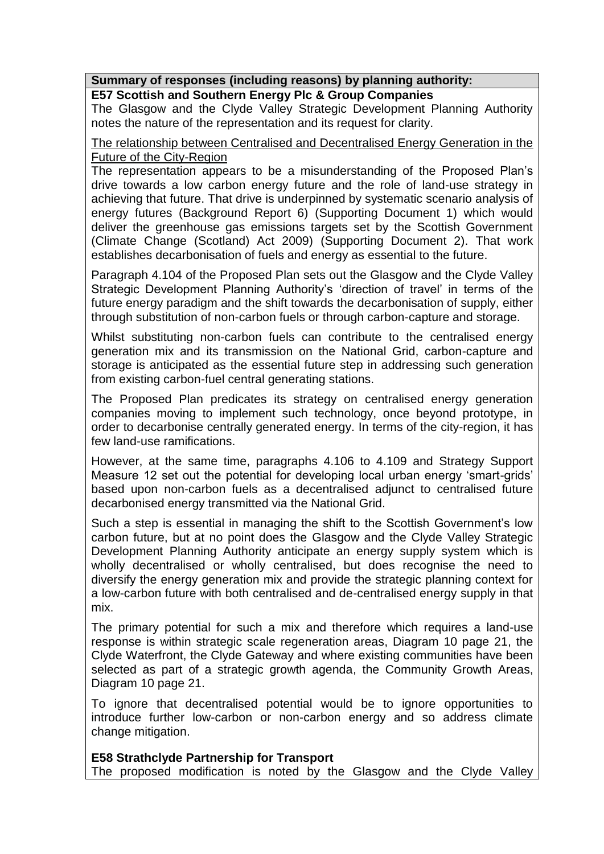### **Summary of responses (including reasons) by planning authority:**

## **E57 Scottish and Southern Energy Plc & Group Companies**

The Glasgow and the Clyde Valley Strategic Development Planning Authority notes the nature of the representation and its request for clarity.

#### The relationship between Centralised and Decentralised Energy Generation in the Future of the City-Region

The representation appears to be a misunderstanding of the Proposed Plan's drive towards a low carbon energy future and the role of land-use strategy in achieving that future. That drive is underpinned by systematic scenario analysis of energy futures (Background Report 6) (Supporting Document 1) which would deliver the greenhouse gas emissions targets set by the Scottish Government (Climate Change (Scotland) Act 2009) (Supporting Document 2). That work establishes decarbonisation of fuels and energy as essential to the future.

Paragraph 4.104 of the Proposed Plan sets out the Glasgow and the Clyde Valley Strategic Development Planning Authority's 'direction of travel' in terms of the future energy paradigm and the shift towards the decarbonisation of supply, either through substitution of non-carbon fuels or through carbon-capture and storage.

Whilst substituting non-carbon fuels can contribute to the centralised energy generation mix and its transmission on the National Grid, carbon-capture and storage is anticipated as the essential future step in addressing such generation from existing carbon-fuel central generating stations.

The Proposed Plan predicates its strategy on centralised energy generation companies moving to implement such technology, once beyond prototype, in order to decarbonise centrally generated energy. In terms of the city-region, it has few land-use ramifications.

However, at the same time, paragraphs 4.106 to 4.109 and Strategy Support Measure 12 set out the potential for developing local urban energy 'smart-grids' based upon non-carbon fuels as a decentralised adjunct to centralised future decarbonised energy transmitted via the National Grid.

Such a step is essential in managing the shift to the Scottish Government's low carbon future, but at no point does the Glasgow and the Clyde Valley Strategic Development Planning Authority anticipate an energy supply system which is wholly decentralised or wholly centralised, but does recognise the need to diversify the energy generation mix and provide the strategic planning context for a low-carbon future with both centralised and de-centralised energy supply in that mix.

The primary potential for such a mix and therefore which requires a land-use response is within strategic scale regeneration areas, Diagram 10 page 21, the Clyde Waterfront, the Clyde Gateway and where existing communities have been selected as part of a strategic growth agenda, the Community Growth Areas, Diagram 10 page 21.

To ignore that decentralised potential would be to ignore opportunities to introduce further low-carbon or non-carbon energy and so address climate change mitigation.

### **E58 Strathclyde Partnership for Transport**

The proposed modification is noted by the Glasgow and the Clyde Valley